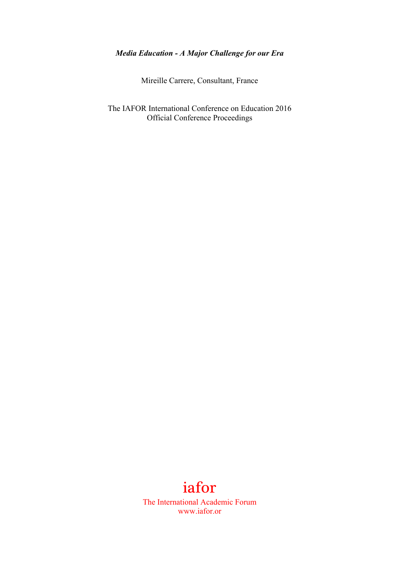## *Media Education - A Major Challenge for our Era*

Mireille Carrere, Consultant, France

The IAFOR International Conference on Education 2016 Official Conference Proceedings

## iafor

The International Academic Forum www.iafor.or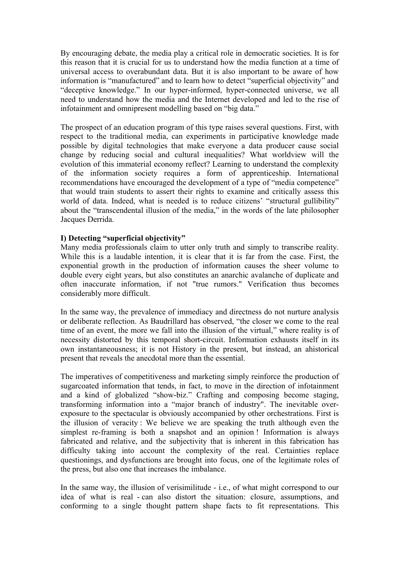By encouraging debate, the media play a critical role in democratic societies. It is for this reason that it is crucial for us to understand how the media function at a time of universal access to overabundant data. But it is also important to be aware of how information is "manufactured" and to learn how to detect "superficial objectivity" and "deceptive knowledge." In our hyper-informed, hyper-connected universe, we all need to understand how the media and the Internet developed and led to the rise of infotainment and omnipresent modelling based on "big data."

The prospect of an education program of this type raises several questions. First, with respect to the traditional media, can experiments in participative knowledge made possible by digital technologies that make everyone a data producer cause social change by reducing social and cultural inequalities? What worldview will the evolution of this immaterial economy reflect? Learning to understand the complexity of the information society requires a form of apprenticeship. International recommendations have encouraged the development of a type of "media competence" that would train students to assert their rights to examine and critically assess this world of data. Indeed, what is needed is to reduce citizens' "structural gullibility" about the "transcendental illusion of the media," in the words of the late philosopher Jacques Derrida.

## **I) Detecting "superficial objectivity"**

Many media professionals claim to utter only truth and simply to transcribe reality. While this is a laudable intention, it is clear that it is far from the case. First, the exponential growth in the production of information causes the sheer volume to double every eight years, but also constitutes an anarchic avalanche of duplicate and often inaccurate information, if not "true rumors." Verification thus becomes considerably more difficult.

In the same way, the prevalence of immediacy and directness do not nurture analysis or deliberate reflection. As Baudrillard has observed, "the closer we come to the real time of an event, the more we fall into the illusion of the virtual," where reality is of necessity distorted by this temporal short-circuit. Information exhausts itself in its own instantaneousness; it is not History in the present, but instead, an ahistorical present that reveals the anecdotal more than the essential.

The imperatives of competitiveness and marketing simply reinforce the production of sugarcoated information that tends, in fact, to move in the direction of infotainment and a kind of globalized "show-biz." Crafting and composing become staging, transforming information into a "major branch of industry". The inevitable overexposure to the spectacular is obviously accompanied by other orchestrations. First is the illusion of veracity : We believe we are speaking the truth although even the simplest re-framing is both a snapshot and an opinion ! Information is always fabricated and relative, and the subjectivity that is inherent in this fabrication has difficulty taking into account the complexity of the real. Certainties replace questionings, and dysfunctions are brought into focus, one of the legitimate roles of the press, but also one that increases the imbalance.

In the same way, the illusion of verisimilitude - i.e., of what might correspond to our idea of what is real - can also distort the situation: closure, assumptions, and conforming to a single thought pattern shape facts to fit representations. This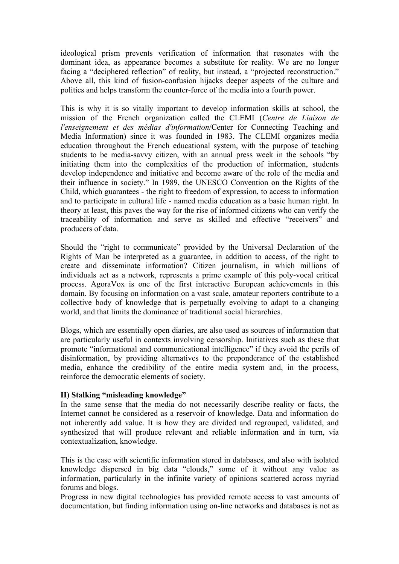ideological prism prevents verification of information that resonates with the dominant idea, as appearance becomes a substitute for reality. We are no longer facing a "deciphered reflection" of reality, but instead, a "projected reconstruction." Above all, this kind of fusion-confusion hijacks deeper aspects of the culture and politics and helps transform the counter-force of the media into a fourth power.

This is why it is so vitally important to develop information skills at school, the mission of the French organization called the CLEMI (*Centre de Liaison de l'enseignement et des médias d'information*/Center for Connecting Teaching and Media Information) since it was founded in 1983. The CLEMI organizes media education throughout the French educational system, with the purpose of teaching students to be media-savvy citizen, with an annual press week in the schools "by initiating them into the complexities of the production of information, students develop independence and initiative and become aware of the role of the media and their influence in society." In 1989, the UNESCO Convention on the Rights of the Child, which guarantees - the right to freedom of expression, to access to information and to participate in cultural life - named media education as a basic human right. In theory at least, this paves the way for the rise of informed citizens who can verify the traceability of information and serve as skilled and effective "receivers" and producers of data.

Should the "right to communicate" provided by the Universal Declaration of the Rights of Man be interpreted as a guarantee, in addition to access, of the right to create and disseminate information? Citizen journalism, in which millions of individuals act as a network, represents a prime example of this poly-vocal critical process. AgoraVox is one of the first interactive European achievements in this domain. By focusing on information on a vast scale, amateur reporters contribute to a collective body of knowledge that is perpetually evolving to adapt to a changing world, and that limits the dominance of traditional social hierarchies.

Blogs, which are essentially open diaries, are also used as sources of information that are particularly useful in contexts involving censorship. Initiatives such as these that promote "informational and communicational intelligence" if they avoid the perils of disinformation, by providing alternatives to the preponderance of the established media, enhance the credibility of the entire media system and, in the process, reinforce the democratic elements of society.

## **II) Stalking "misleading knowledge"**

In the same sense that the media do not necessarily describe reality or facts, the Internet cannot be considered as a reservoir of knowledge. Data and information do not inherently add value. It is how they are divided and regrouped, validated, and synthesized that will produce relevant and reliable information and in turn, via contextualization, knowledge.

This is the case with scientific information stored in databases, and also with isolated knowledge dispersed in big data "clouds," some of it without any value as information, particularly in the infinite variety of opinions scattered across myriad forums and blogs.

Progress in new digital technologies has provided remote access to vast amounts of documentation, but finding information using on-line networks and databases is not as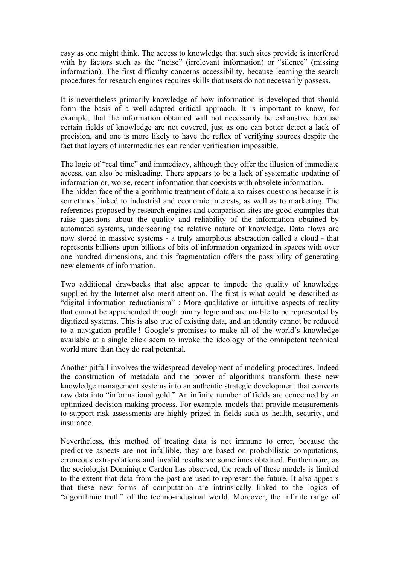easy as one might think. The access to knowledge that such sites provide is interfered with by factors such as the "noise" (irrelevant information) or "silence" (missing information). The first difficulty concerns accessibility, because learning the search procedures for research engines requires skills that users do not necessarily possess.

It is nevertheless primarily knowledge of how information is developed that should form the basis of a well-adapted critical approach. It is important to know, for example, that the information obtained will not necessarily be exhaustive because certain fields of knowledge are not covered, just as one can better detect a lack of precision, and one is more likely to have the reflex of verifying sources despite the fact that layers of intermediaries can render verification impossible.

The logic of "real time" and immediacy, although they offer the illusion of immediate access, can also be misleading. There appears to be a lack of systematic updating of information or, worse, recent information that coexists with obsolete information. The hidden face of the algorithmic treatment of data also raises questions because it is sometimes linked to industrial and economic interests, as well as to marketing. The references proposed by research engines and comparison sites are good examples that raise questions about the quality and reliability of the information obtained by automated systems, underscoring the relative nature of knowledge. Data flows are now stored in massive systems - a truly amorphous abstraction called a cloud - that represents billions upon billions of bits of information organized in spaces with over one hundred dimensions, and this fragmentation offers the possibility of generating new elements of information.

Two additional drawbacks that also appear to impede the quality of knowledge supplied by the Internet also merit attention. The first is what could be described as "digital information reductionism" : More qualitative or intuitive aspects of reality that cannot be apprehended through binary logic and are unable to be represented by digitized systems. This is also true of existing data, and an identity cannot be reduced to a navigation profile ! Google's promises to make all of the world's knowledge available at a single click seem to invoke the ideology of the omnipotent technical world more than they do real potential.

Another pitfall involves the widespread development of modeling procedures. Indeed the construction of metadata and the power of algorithms transform these new knowledge management systems into an authentic strategic development that converts raw data into "informational gold." An infinite number of fields are concerned by an optimized decision-making process. For example, models that provide measurements to support risk assessments are highly prized in fields such as health, security, and insurance.

Nevertheless, this method of treating data is not immune to error, because the predictive aspects are not infallible, they are based on probabilistic computations, erroneous extrapolations and invalid results are sometimes obtained. Furthermore, as the sociologist Dominique Cardon has observed, the reach of these models is limited to the extent that data from the past are used to represent the future. It also appears that these new forms of computation are intrinsically linked to the logics of "algorithmic truth" of the techno-industrial world. Moreover, the infinite range of